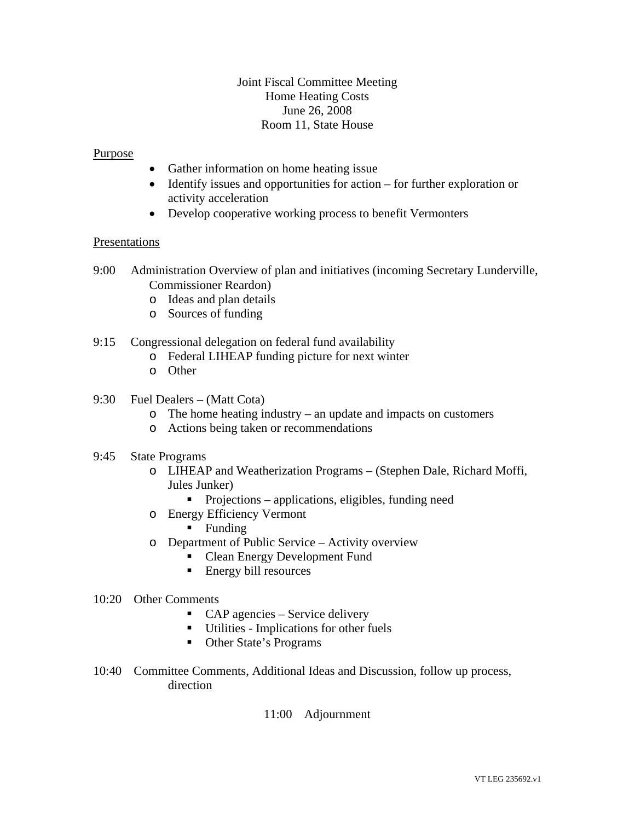## Joint Fiscal Committee Meeting Home Heating Costs June 26, 2008 Room 11, State House

### **Purpose**

- Gather information on home heating issue
- Identify issues and opportunities for action for further exploration or activity acceleration
- Develop cooperative working process to benefit Vermonters

#### Presentations

- 9:00 Administration Overview of plan and initiatives (incoming Secretary Lunderville, Commissioner Reardon)
	- o Ideas and plan details
	- o Sources of funding
- 9:15 Congressional delegation on federal fund availability
	- o Federal LIHEAP funding picture for next winter
	- o Other
- 9:30 Fuel Dealers (Matt Cota)
	- o The home heating industry an update and impacts on customers
	- o Actions being taken or recommendations
- 9:45 State Programs
	- o LIHEAP and Weatherization Programs (Stephen Dale, Richard Moffi, Jules Junker)
		- **Projections applications, eligibles, funding need**
	- o Energy Efficiency Vermont
		- **Funding**
	- o Department of Public Service Activity overview
		- Clean Energy Development Fund
		- Energy bill resources

#### 10:20 Other Comments

- CAP agencies Service delivery
- Utilities Implications for other fuels
- Other State's Programs
- 10:40 Committee Comments, Additional Ideas and Discussion, follow up process, direction
	- 11:00 Adjournment